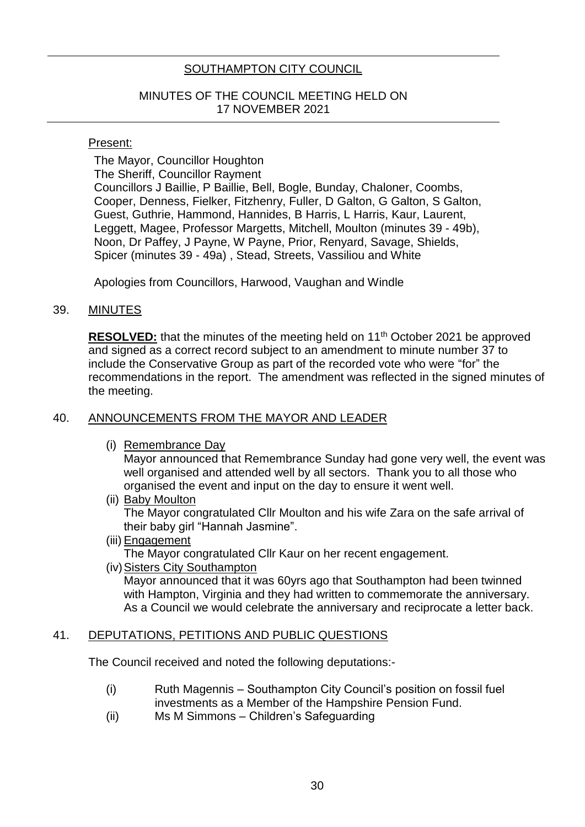# SOUTHAMPTON CITY COUNCIL

### MINUTES OF THE COUNCIL MEETING HELD ON 17 NOVEMBER 2021

#### Present:

The Mayor, Councillor Houghton The Sheriff, Councillor Rayment Councillors J Baillie, P Baillie, Bell, Bogle, Bunday, Chaloner, Coombs, Cooper, Denness, Fielker, Fitzhenry, Fuller, D Galton, G Galton, S Galton, Guest, Guthrie, Hammond, Hannides, B Harris, L Harris, Kaur, Laurent, Leggett, Magee, Professor Margetts, Mitchell, Moulton (minutes 39 - 49b), Noon, Dr Paffey, J Payne, W Payne, Prior, Renyard, Savage, Shields, Spicer (minutes 39 - 49a) , Stead, Streets, Vassiliou and White

Apologies from Councillors, Harwood, Vaughan and Windle

#### 39. MINUTES

**RESOLVED:** that the minutes of the meeting held on 11<sup>th</sup> October 2021 be approved and signed as a correct record subject to an amendment to minute number 37 to include the Conservative Group as part of the recorded vote who were "for" the recommendations in the report. The amendment was reflected in the signed minutes of the meeting.

### 40. ANNOUNCEMENTS FROM THE MAYOR AND LEADER

(i) Remembrance Day

Mayor announced that Remembrance Sunday had gone very well, the event was well organised and attended well by all sectors. Thank you to all those who organised the event and input on the day to ensure it went well.

(ii) Baby Moulton

The Mayor congratulated Cllr Moulton and his wife Zara on the safe arrival of their baby girl "Hannah Jasmine".

- (iii) Engagement The Mayor congratulated Cllr Kaur on her recent engagement.
- (iv) Sisters City Southampton

Mayor announced that it was 60yrs ago that Southampton had been twinned with Hampton, Virginia and they had written to commemorate the anniversary. As a Council we would celebrate the anniversary and reciprocate a letter back.

#### 41. DEPUTATIONS, PETITIONS AND PUBLIC QUESTIONS

The Council received and noted the following deputations:-

- (i) Ruth Magennis Southampton City Council's position on fossil fuel investments as a Member of the Hampshire Pension Fund.
- (ii) Ms M Simmons Children's Safeguarding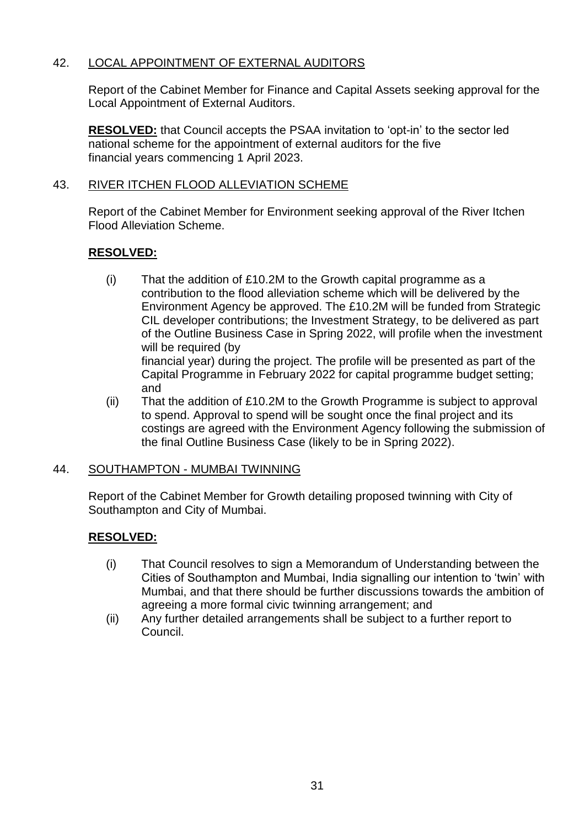# 42. LOCAL APPOINTMENT OF EXTERNAL AUDITORS

Report of the Cabinet Member for Finance and Capital Assets seeking approval for the Local Appointment of External Auditors.

**RESOLVED:** that Council accepts the PSAA invitation to 'opt-in' to the sector led national scheme for the appointment of external auditors for the five financial years commencing 1 April 2023.

# 43. RIVER ITCHEN FLOOD ALLEVIATION SCHEME

Report of the Cabinet Member for Environment seeking approval of the River Itchen Flood Alleviation Scheme.

# **RESOLVED:**

- (i) That the addition of £10.2M to the Growth capital programme as a contribution to the flood alleviation scheme which will be delivered by the Environment Agency be approved. The £10.2M will be funded from Strategic CIL developer contributions; the Investment Strategy, to be delivered as part of the Outline Business Case in Spring 2022, will profile when the investment will be required (by financial year) during the project. The profile will be presented as part of the Capital Programme in February 2022 for capital programme budget setting; and
- (ii) That the addition of £10.2M to the Growth Programme is subject to approval to spend. Approval to spend will be sought once the final project and its costings are agreed with the Environment Agency following the submission of the final Outline Business Case (likely to be in Spring 2022).

# 44. SOUTHAMPTON - MUMBAI TWINNING

Report of the Cabinet Member for Growth detailing proposed twinning with City of Southampton and City of Mumbai.

# **RESOLVED:**

- (i) That Council resolves to sign a Memorandum of Understanding between the Cities of Southampton and Mumbai, India signalling our intention to 'twin' with Mumbai, and that there should be further discussions towards the ambition of agreeing a more formal civic twinning arrangement; and
- (ii) Any further detailed arrangements shall be subject to a further report to Council.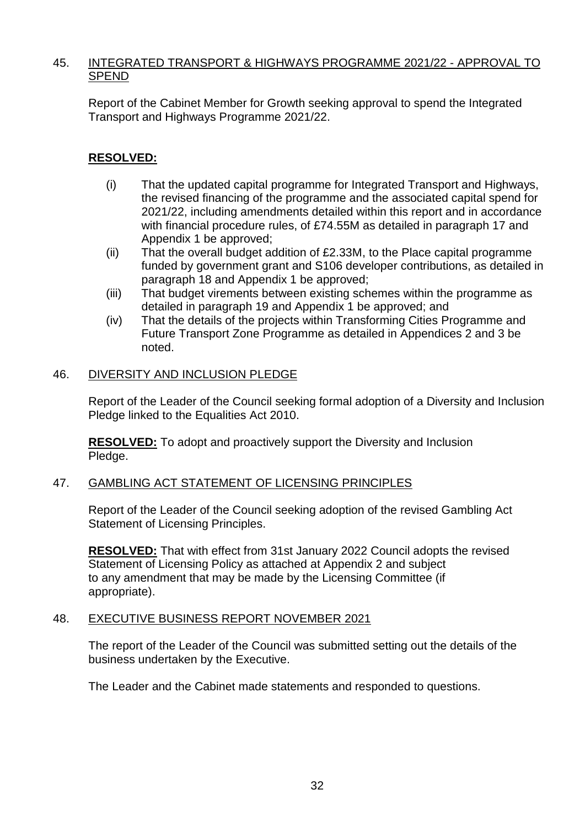### 45. INTEGRATED TRANSPORT & HIGHWAYS PROGRAMME 2021/22 - APPROVAL TO SPEND

Report of the Cabinet Member for Growth seeking approval to spend the Integrated Transport and Highways Programme 2021/22.

# **RESOLVED:**

- (i) That the updated capital programme for Integrated Transport and Highways, the revised financing of the programme and the associated capital spend for 2021/22, including amendments detailed within this report and in accordance with financial procedure rules, of £74.55M as detailed in paragraph 17 and Appendix 1 be approved;
- (ii) That the overall budget addition of £2.33M, to the Place capital programme funded by government grant and S106 developer contributions, as detailed in paragraph 18 and Appendix 1 be approved;
- (iii) That budget virements between existing schemes within the programme as detailed in paragraph 19 and Appendix 1 be approved; and
- (iv) That the details of the projects within Transforming Cities Programme and Future Transport Zone Programme as detailed in Appendices 2 and 3 be noted.

# 46. DIVERSITY AND INCLUSION PLEDGE

Report of the Leader of the Council seeking formal adoption of a Diversity and Inclusion Pledge linked to the Equalities Act 2010.

**RESOLVED:** To adopt and proactively support the Diversity and Inclusion Pledge.

### 47. GAMBLING ACT STATEMENT OF LICENSING PRINCIPLES

Report of the Leader of the Council seeking adoption of the revised Gambling Act Statement of Licensing Principles.

**RESOLVED:** That with effect from 31st January 2022 Council adopts the revised Statement of Licensing Policy as attached at Appendix 2 and subject to any amendment that may be made by the Licensing Committee (if appropriate).

### 48. EXECUTIVE BUSINESS REPORT NOVEMBER 2021

The report of the Leader of the Council was submitted setting out the details of the business undertaken by the Executive.

The Leader and the Cabinet made statements and responded to questions.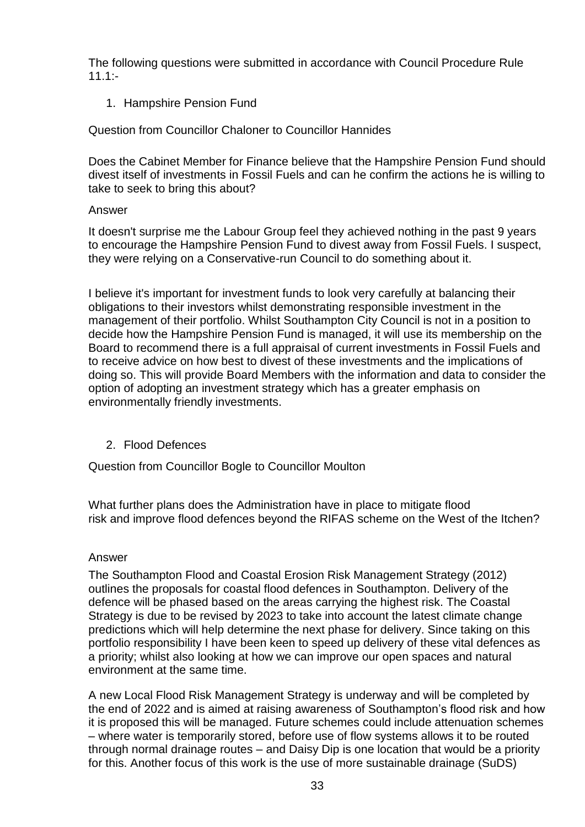The following questions were submitted in accordance with Council Procedure Rule  $11.1:$ 

1. Hampshire Pension Fund

Question from Councillor Chaloner to Councillor Hannides

Does the Cabinet Member for Finance believe that the Hampshire Pension Fund should divest itself of investments in Fossil Fuels and can he confirm the actions he is willing to take to seek to bring this about?

### Answer

It doesn't surprise me the Labour Group feel they achieved nothing in the past 9 years to encourage the Hampshire Pension Fund to divest away from Fossil Fuels. I suspect, they were relying on a Conservative-run Council to do something about it.

I believe it's important for investment funds to look very carefully at balancing their obligations to their investors whilst demonstrating responsible investment in the management of their portfolio. Whilst Southampton City Council is not in a position to decide how the Hampshire Pension Fund is managed, it will use its membership on the Board to recommend there is a full appraisal of current investments in Fossil Fuels and to receive advice on how best to divest of these investments and the implications of doing so. This will provide Board Members with the information and data to consider the option of adopting an investment strategy which has a greater emphasis on environmentally friendly investments.

### 2. Flood Defences

Question from Councillor Bogle to Councillor Moulton

What further plans does the Administration have in place to mitigate flood risk and improve flood defences beyond the RIFAS scheme on the West of the Itchen?

### Answer

The Southampton Flood and Coastal Erosion Risk Management Strategy (2012) outlines the proposals for coastal flood defences in Southampton. Delivery of the defence will be phased based on the areas carrying the highest risk. The Coastal Strategy is due to be revised by 2023 to take into account the latest climate change predictions which will help determine the next phase for delivery. Since taking on this portfolio responsibility I have been keen to speed up delivery of these vital defences as a priority; whilst also looking at how we can improve our open spaces and natural environment at the same time.

A new Local Flood Risk Management Strategy is underway and will be completed by the end of 2022 and is aimed at raising awareness of Southampton's flood risk and how it is proposed this will be managed. Future schemes could include attenuation schemes – where water is temporarily stored, before use of flow systems allows it to be routed through normal drainage routes – and Daisy Dip is one location that would be a priority for this. Another focus of this work is the use of more sustainable drainage (SuDS)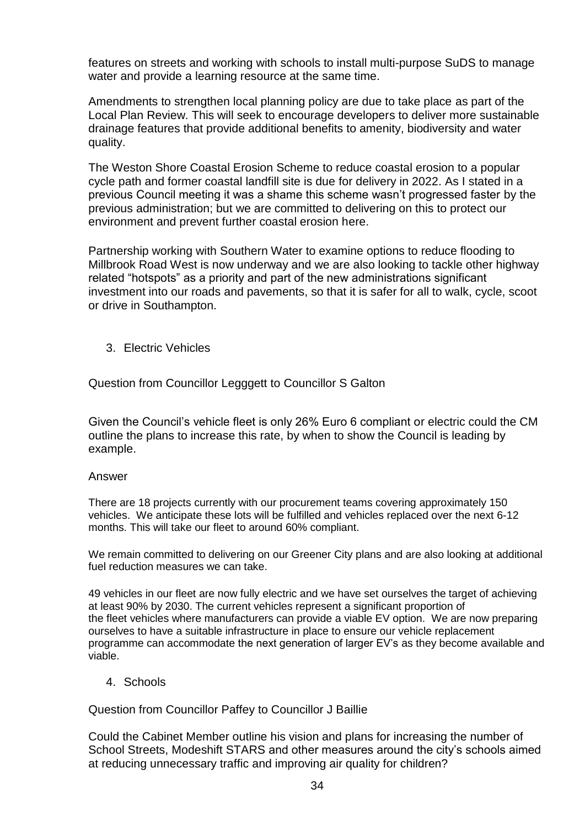features on streets and working with schools to install multi-purpose SuDS to manage water and provide a learning resource at the same time.

Amendments to strengthen local planning policy are due to take place as part of the Local Plan Review. This will seek to encourage developers to deliver more sustainable drainage features that provide additional benefits to amenity, biodiversity and water quality.

The Weston Shore Coastal Erosion Scheme to reduce coastal erosion to a popular cycle path and former coastal landfill site is due for delivery in 2022. As I stated in a previous Council meeting it was a shame this scheme wasn't progressed faster by the previous administration; but we are committed to delivering on this to protect our environment and prevent further coastal erosion here.

Partnership working with Southern Water to examine options to reduce flooding to Millbrook Road West is now underway and we are also looking to tackle other highway related "hotspots" as a priority and part of the new administrations significant investment into our roads and pavements, so that it is safer for all to walk, cycle, scoot or drive in Southampton.

3. Electric Vehicles

Question from Councillor Legggett to Councillor S Galton

Given the Council's vehicle fleet is only 26% Euro 6 compliant or electric could the CM outline the plans to increase this rate, by when to show the Council is leading by example.

#### Answer

There are 18 projects currently with our procurement teams covering approximately 150 vehicles. We anticipate these lots will be fulfilled and vehicles replaced over the next 6-12 months. This will take our fleet to around 60% compliant.

We remain committed to delivering on our Greener City plans and are also looking at additional fuel reduction measures we can take.

49 vehicles in our fleet are now fully electric and we have set ourselves the target of achieving at least 90% by 2030. The current vehicles represent a significant proportion of the fleet vehicles where manufacturers can provide a viable EV option. We are now preparing ourselves to have a suitable infrastructure in place to ensure our vehicle replacement programme can accommodate the next generation of larger EV's as they become available and viable.

4. Schools

Question from Councillor Paffey to Councillor J Baillie

Could the Cabinet Member outline his vision and plans for increasing the number of School Streets, Modeshift STARS and other measures around the city's schools aimed at reducing unnecessary traffic and improving air quality for children?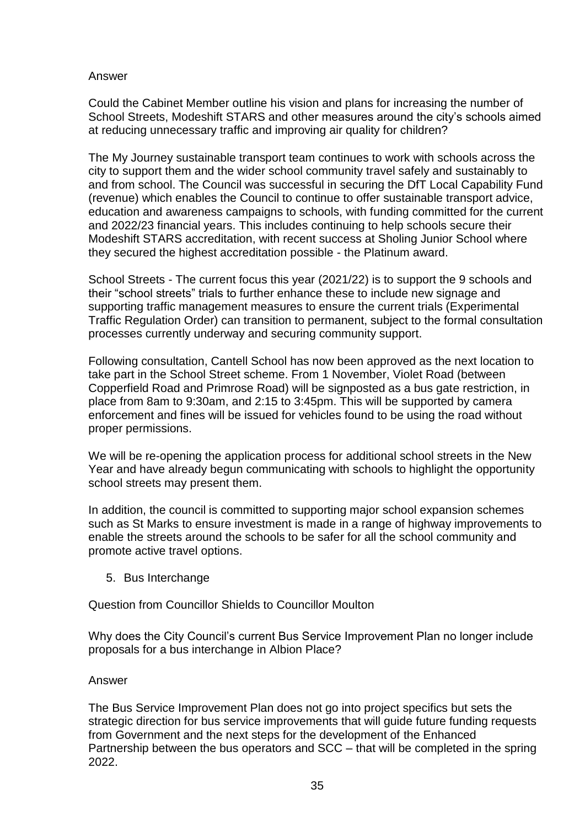### Answer

Could the Cabinet Member outline his vision and plans for increasing the number of School Streets, Modeshift STARS and other measures around the city's schools aimed at reducing unnecessary traffic and improving air quality for children?

The My Journey sustainable transport team continues to work with schools across the city to support them and the wider school community travel safely and sustainably to and from school. The Council was successful in securing the DfT Local Capability Fund (revenue) which enables the Council to continue to offer sustainable transport advice, education and awareness campaigns to schools, with funding committed for the current and 2022/23 financial years. This includes continuing to help schools secure their Modeshift STARS accreditation, with recent success at Sholing Junior School where they secured the highest accreditation possible - the Platinum award.

School Streets - The current focus this year (2021/22) is to support the 9 schools and their "school streets" trials to further enhance these to include new signage and supporting traffic management measures to ensure the current trials (Experimental Traffic Regulation Order) can transition to permanent, subject to the formal consultation processes currently underway and securing community support.

Following consultation, Cantell School has now been approved as the next location to take part in the School Street scheme. From 1 November, Violet Road (between Copperfield Road and Primrose Road) will be signposted as a bus gate restriction, in place from 8am to 9:30am, and 2:15 to 3:45pm. This will be supported by camera enforcement and fines will be issued for vehicles found to be using the road without proper permissions.

We will be re-opening the application process for additional school streets in the New Year and have already begun communicating with schools to highlight the opportunity school streets may present them.

In addition, the council is committed to supporting major school expansion schemes such as St Marks to ensure investment is made in a range of highway improvements to enable the streets around the schools to be safer for all the school community and promote active travel options.

5. Bus Interchange

Question from Councillor Shields to Councillor Moulton

Why does the City Council's current Bus Service Improvement Plan no longer include proposals for a bus interchange in Albion Place?

### Answer

The Bus Service Improvement Plan does not go into project specifics but sets the strategic direction for bus service improvements that will guide future funding requests from Government and the next steps for the development of the Enhanced Partnership between the bus operators and SCC – that will be completed in the spring 2022.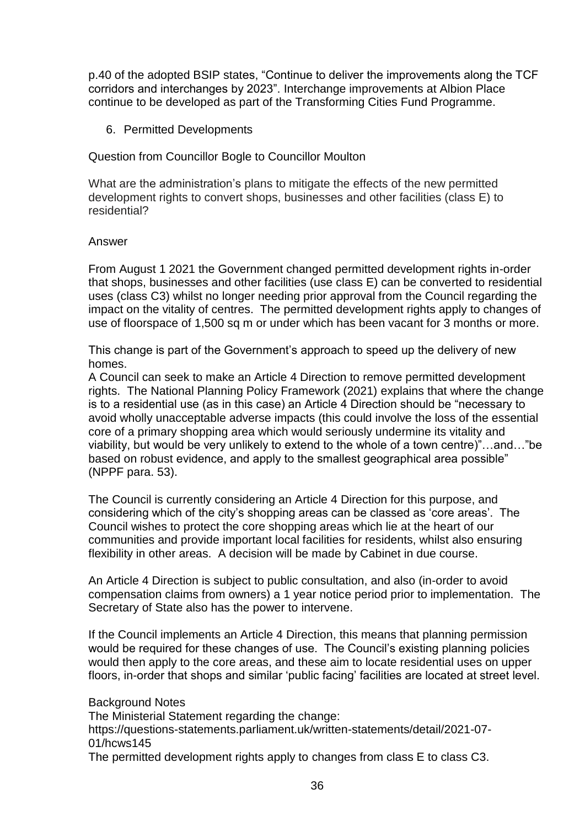p.40 of the adopted BSIP states, "Continue to deliver the improvements along the TCF corridors and interchanges by 2023". Interchange improvements at Albion Place continue to be developed as part of the Transforming Cities Fund Programme.

6. Permitted Developments

Question from Councillor Bogle to Councillor Moulton

What are the administration's plans to mitigate the effects of the new permitted development rights to convert shops, businesses and other facilities (class E) to residential?

#### Answer

From August 1 2021 the Government changed permitted development rights in-order that shops, businesses and other facilities (use class E) can be converted to residential uses (class C3) whilst no longer needing prior approval from the Council regarding the impact on the vitality of centres. The permitted development rights apply to changes of use of floorspace of 1,500 sq m or under which has been vacant for 3 months or more.

This change is part of the Government's approach to speed up the delivery of new homes.

A Council can seek to make an Article 4 Direction to remove permitted development rights. The National Planning Policy Framework (2021) explains that where the change is to a residential use (as in this case) an Article 4 Direction should be "necessary to avoid wholly unacceptable adverse impacts (this could involve the loss of the essential core of a primary shopping area which would seriously undermine its vitality and viability, but would be very unlikely to extend to the whole of a town centre)"…and…"be based on robust evidence, and apply to the smallest geographical area possible" (NPPF para. 53).

The Council is currently considering an Article 4 Direction for this purpose, and considering which of the city's shopping areas can be classed as 'core areas'. The Council wishes to protect the core shopping areas which lie at the heart of our communities and provide important local facilities for residents, whilst also ensuring flexibility in other areas. A decision will be made by Cabinet in due course.

An Article 4 Direction is subject to public consultation, and also (in-order to avoid compensation claims from owners) a 1 year notice period prior to implementation. The Secretary of State also has the power to intervene.

If the Council implements an Article 4 Direction, this means that planning permission would be required for these changes of use. The Council's existing planning policies would then apply to the core areas, and these aim to locate residential uses on upper floors, in-order that shops and similar 'public facing' facilities are located at street level.

Background Notes The Ministerial Statement regarding the change: https://questions-statements.parliament.uk/written-statements/detail/2021-07- 01/hcws145 The permitted development rights apply to changes from class E to class C3.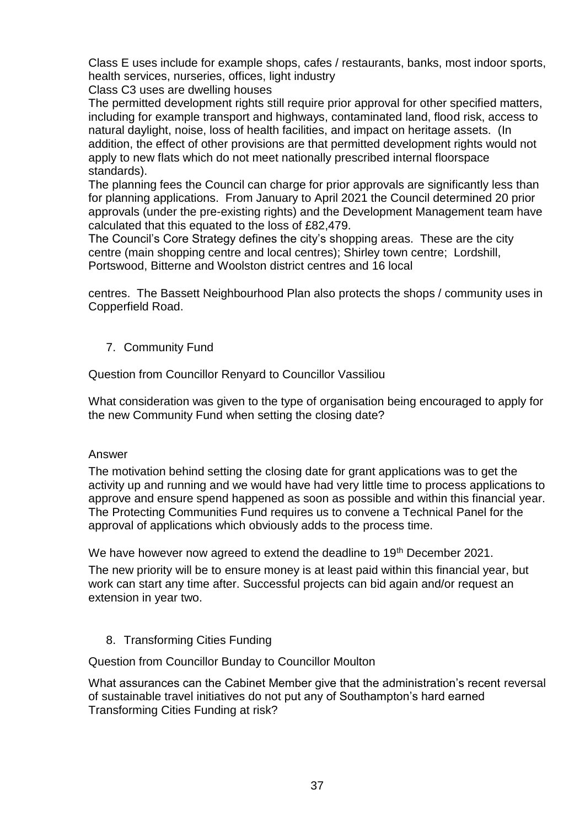Class E uses include for example shops, cafes / restaurants, banks, most indoor sports, health services, nurseries, offices, light industry

Class C3 uses are dwelling houses

The permitted development rights still require prior approval for other specified matters, including for example transport and highways, contaminated land, flood risk, access to natural daylight, noise, loss of health facilities, and impact on heritage assets. (In addition, the effect of other provisions are that permitted development rights would not apply to new flats which do not meet nationally prescribed internal floorspace standards).

The planning fees the Council can charge for prior approvals are significantly less than for planning applications. From January to April 2021 the Council determined 20 prior approvals (under the pre-existing rights) and the Development Management team have calculated that this equated to the loss of £82,479.

The Council's Core Strategy defines the city's shopping areas. These are the city centre (main shopping centre and local centres); Shirley town centre; Lordshill, Portswood, Bitterne and Woolston district centres and 16 local

centres. The Bassett Neighbourhood Plan also protects the shops / community uses in Copperfield Road.

7. Community Fund

Question from Councillor Renyard to Councillor Vassiliou

What consideration was given to the type of organisation being encouraged to apply for the new Community Fund when setting the closing date?

### Answer

The motivation behind setting the closing date for grant applications was to get the activity up and running and we would have had very little time to process applications to approve and ensure spend happened as soon as possible and within this financial year. The Protecting Communities Fund requires us to convene a Technical Panel for the approval of applications which obviously adds to the process time.

We have however now agreed to extend the deadline to 19<sup>th</sup> December 2021.

The new priority will be to ensure money is at least paid within this financial year, but work can start any time after. Successful projects can bid again and/or request an extension in year two.

### 8. Transforming Cities Funding

Question from Councillor Bunday to Councillor Moulton

What assurances can the Cabinet Member give that the administration's recent reversal of sustainable travel initiatives do not put any of Southampton's hard earned Transforming Cities Funding at risk?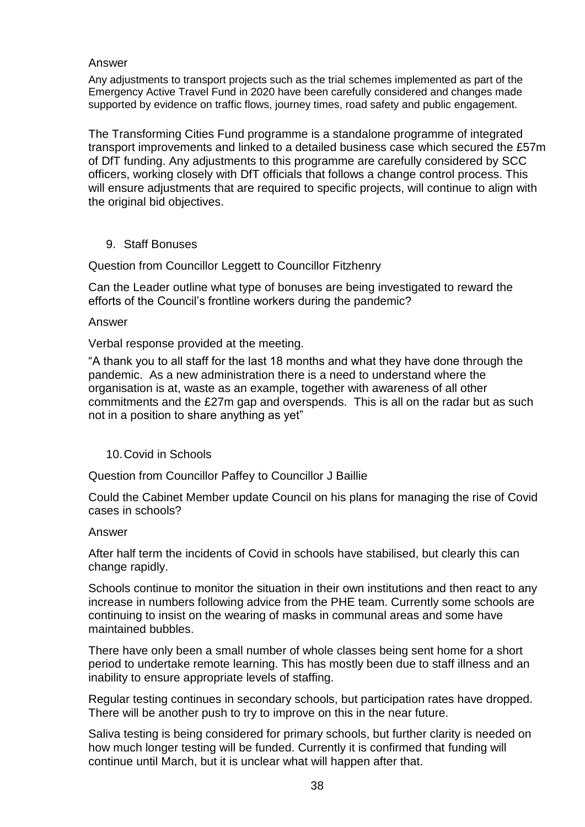#### Answer

Any adjustments to transport projects such as the trial schemes implemented as part of the Emergency Active Travel Fund in 2020 have been carefully considered and changes made supported by evidence on traffic flows, journey times, road safety and public engagement.

The Transforming Cities Fund programme is a standalone programme of integrated transport improvements and linked to a detailed business case which secured the £57m of DfT funding. Any adjustments to this programme are carefully considered by SCC officers, working closely with DfT officials that follows a change control process. This will ensure adjustments that are required to specific projects, will continue to align with the original bid objectives.

9. Staff Bonuses

Question from Councillor Leggett to Councillor Fitzhenry

Can the Leader outline what type of bonuses are being investigated to reward the efforts of the Council's frontline workers during the pandemic?

Answer

Verbal response provided at the meeting.

"A thank you to all staff for the last 18 months and what they have done through the pandemic. As a new administration there is a need to understand where the organisation is at, waste as an example, together with awareness of all other commitments and the £27m gap and overspends. This is all on the radar but as such not in a position to share anything as yet"

### 10.Covid in Schools

Question from Councillor Paffey to Councillor J Baillie

Could the Cabinet Member update Council on his plans for managing the rise of Covid cases in schools?

#### Answer

After half term the incidents of Covid in schools have stabilised, but clearly this can change rapidly.

Schools continue to monitor the situation in their own institutions and then react to any increase in numbers following advice from the PHE team. Currently some schools are continuing to insist on the wearing of masks in communal areas and some have maintained bubbles.

There have only been a small number of whole classes being sent home for a short period to undertake remote learning. This has mostly been due to staff illness and an inability to ensure appropriate levels of staffing.

Regular testing continues in secondary schools, but participation rates have dropped. There will be another push to try to improve on this in the near future.

Saliva testing is being considered for primary schools, but further clarity is needed on how much longer testing will be funded. Currently it is confirmed that funding will continue until March, but it is unclear what will happen after that.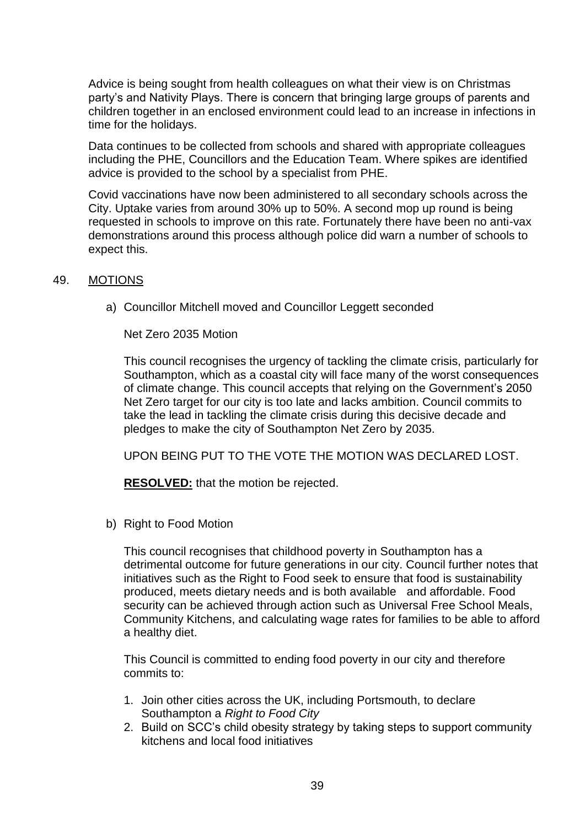Advice is being sought from health colleagues on what their view is on Christmas party's and Nativity Plays. There is concern that bringing large groups of parents and children together in an enclosed environment could lead to an increase in infections in time for the holidays.

Data continues to be collected from schools and shared with appropriate colleagues including the PHE, Councillors and the Education Team. Where spikes are identified advice is provided to the school by a specialist from PHE.

Covid vaccinations have now been administered to all secondary schools across the City. Uptake varies from around 30% up to 50%. A second mop up round is being requested in schools to improve on this rate. Fortunately there have been no anti-vax demonstrations around this process although police did warn a number of schools to expect this.

#### 49. MOTIONS

a) Councillor Mitchell moved and Councillor Leggett seconded

Net Zero 2035 Motion

This council recognises the urgency of tackling the climate crisis, particularly for Southampton, which as a coastal city will face many of the worst consequences of climate change. This council accepts that relying on the Government's 2050 Net Zero target for our city is too late and lacks ambition. Council commits to take the lead in tackling the climate crisis during this decisive decade and pledges to make the city of Southampton Net Zero by 2035.

UPON BEING PUT TO THE VOTE THE MOTION WAS DECLARED LOST.

**RESOLVED:** that the motion be rejected.

b) Right to Food Motion

This council recognises that childhood poverty in Southampton has a detrimental outcome for future generations in our city. Council further notes that initiatives such as the Right to Food seek to ensure that food is sustainability produced, meets dietary needs and is both available and affordable. Food security can be achieved through action such as Universal Free School Meals, Community Kitchens, and calculating wage rates for families to be able to afford a healthy diet.

This Council is committed to ending food poverty in our city and therefore commits to:

- 1. Join other cities across the UK, including Portsmouth, to declare Southampton a *Right to Food City*
- 2. Build on SCC's child obesity strategy by taking steps to support community kitchens and local food initiatives